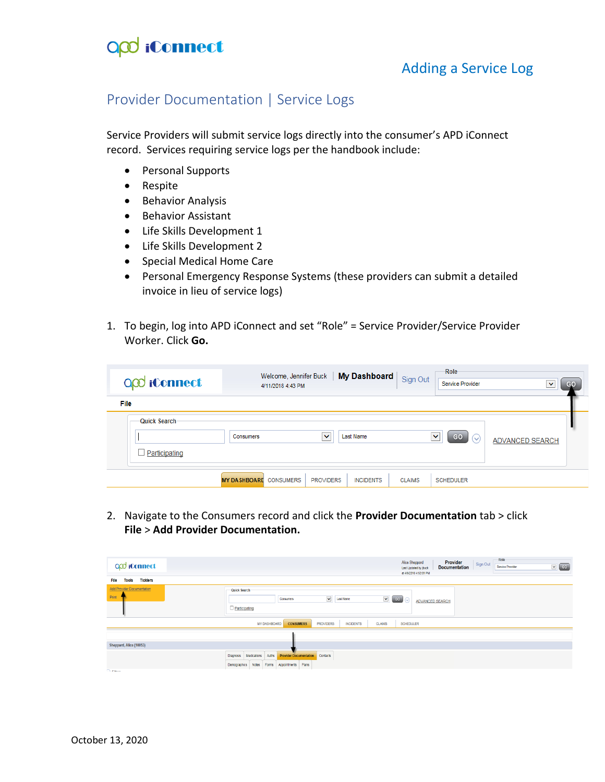

Adding a Service Log

### Provider Documentation | Service Logs

Service Providers will submit service logs directly into the consumer's APD iConnect record. Services requiring service logs per the handbook include:

- Personal Supports
- Respite
- Behavior Analysis
- Behavior Assistant
- Life Skills Development 1
- Life Skills Development 2
- Special Medical Home Care
- Personal Emergency Response Systems (these providers can submit a detailed invoice in lieu of service logs)
- 1. To begin, log into APD iConnect and set "Role" = Service Provider/Service Provider Worker. Click **Go.**

| QQ iConnect                   | 4/11/2018 4:43 PM             | Welcome, Jennifer Buck   My Dashboard | Sign Out      | Role<br>Service Provider     | GO<br>$\checkmark$ |
|-------------------------------|-------------------------------|---------------------------------------|---------------|------------------------------|--------------------|
| File                          |                               |                                       |               |                              |                    |
| Quick Search<br>Participating | Consumers                     | v<br><b>Last Name</b>                 |               | $\checkmark$<br>GO<br>$\sim$ | ADVANCED SEARCH    |
|                               | <b>MY DASHBOARD</b> CONSUMERS | <b>PROVIDERS</b><br><b>INCIDENTS</b>  | <b>CLAIMS</b> | <b>SCHEDULER</b>             |                    |

2. Navigate to the Consumers record and click the **Provider Documentation** tab > click **File** > **Add Provider Documentation.** 

| O <sub>co</sub> iConnect                   |                                                                                                                                        | Role<br>Provider<br>Alice Sheppard<br>Sign Out<br>$\sqrt{2}$ GO<br>Service Provider<br><b>Documentation</b><br>Last Updated by jbuck<br>at 4/9/2018 4:50:01 PM |
|--------------------------------------------|----------------------------------------------------------------------------------------------------------------------------------------|----------------------------------------------------------------------------------------------------------------------------------------------------------------|
| <b>Ticklers</b><br><b>Tools</b><br>File    |                                                                                                                                        |                                                                                                                                                                |
| <b>Add Provider Documentation</b><br>Print | Quick Search<br>$\check{}$<br>$\sqrt{3}$ (30)<br>Last Name<br>Consumers<br>Participating                                               | $\odot$<br><b>ADVANCED SEARCH</b>                                                                                                                              |
|                                            | MY DASHBOARD<br><b>CONSUMERS</b><br>PROVIDERS<br><b>CLAIMS</b><br><b>INCIDENTS</b>                                                     | <b>SCHEDULER</b>                                                                                                                                               |
| Sheppard, Alice (10053)                    |                                                                                                                                        |                                                                                                                                                                |
| $\bigcap$ ratios.                          | Contacts<br>Auths<br>Diagnosis<br>Medications<br><b>Provider Documentation</b><br>Appointments Plans<br>Forms<br>Notes<br>Demographics |                                                                                                                                                                |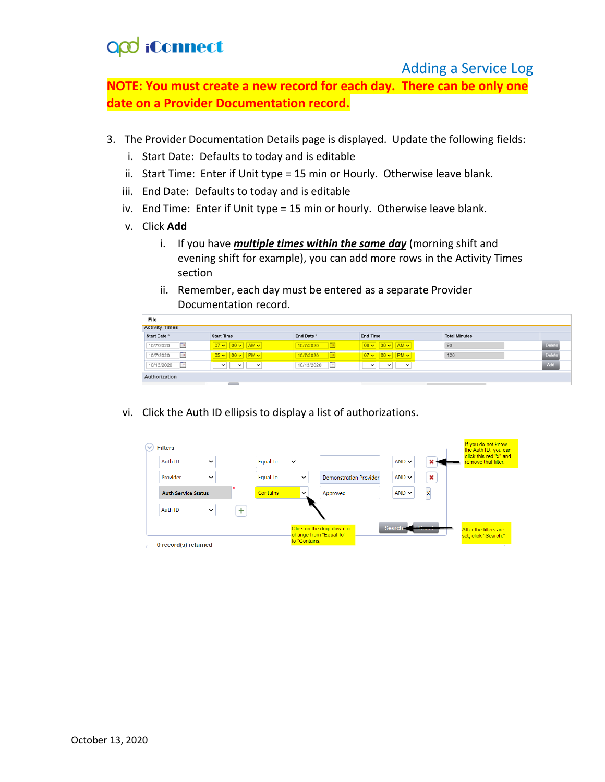# **QQ** iConnect

#### Adding a Service Log

**NOTE: You must create a new record for each day. There can be only one date on a Provider Documentation record.**

- 3. The Provider Documentation Details page is displayed. Update the following fields:
	- i. Start Date: Defaults to today and is editable
	- ii. Start Time: Enter if Unit type = 15 min or Hourly. Otherwise leave blank.
	- iii. End Date: Defaults to today and is editable
	- iv. End Time: Enter if Unit type = 15 min or hourly. Otherwise leave blank.
	- v. Click **Add**
		- i. If you have *multiple times within the same day* (morning shift and evening shift for example), you can add more rows in the Activity Times section
		- ii. Remember, each day must be entered as a separate Provider Documentation record.

| File                                  |                                                                             |                          |                                                         |                      |               |  |  |  |  |
|---------------------------------------|-----------------------------------------------------------------------------|--------------------------|---------------------------------------------------------|----------------------|---------------|--|--|--|--|
| <b>Activity Times</b>                 |                                                                             |                          |                                                         |                      |               |  |  |  |  |
| Start Date *                          | <b>Start Time</b>                                                           | End Date *               | End Time                                                | <b>Total Minutes</b> |               |  |  |  |  |
| $\Box$<br>10/7/2020                   | $\boxed{07 \vee \boxed{00 \vee \boxed{AM \vee}}$                            | 10/7/2020<br><b>IF A</b> | $\boxed{08 \vee \boxed{30 \vee \boxed{AM \vee}}$        | 90                   | <b>Delete</b> |  |  |  |  |
| $\overline{\phantom{a}}$<br>10/7/2020 | $\left 05 \vee \right  \left 00 \vee \right  \left  \text{PM} \vee \right $ | 10/7/2020<br><b>IF</b>   | $\boxed{07 \vee \boxed{00 \vee \boxed{\text{PM} \vee}}$ | 120                  | <b>Delete</b> |  |  |  |  |
| To<br>10/13/2020                      | $\checkmark$<br>$\checkmark$<br>$\checkmark$                                | F<br>10/13/2020          | $\checkmark$<br>$\checkmark$<br>$\check{ }$             |                      | Add           |  |  |  |  |
| Authorization                         |                                                                             |                          |                                                         |                      |               |  |  |  |  |

vi. Click the Auth ID ellipsis to display a list of authorizations.

| <b>Filters</b>             |           |                 |              |                               |            |               | If you do not know<br>the Auth ID, you can<br>click this red "x" and |
|----------------------------|-----------|-----------------|--------------|-------------------------------|------------|---------------|----------------------------------------------------------------------|
| Auth ID<br>$\checkmark$    |           | <b>Equal To</b> | $\check{ }$  |                               | $AND \sim$ |               | remove that filter.                                                  |
| Provider<br>$\checkmark$   |           | Equal To        | $\checkmark$ | <b>Demonstration Provider</b> | $AND \sim$ | ×             |                                                                      |
| <b>Auth Service Status</b> | $\star$   | <b>Contains</b> | $\checkmark$ | Approved                      | $AND \sim$ |               |                                                                      |
| Auth ID<br>$\checkmark$    | $\ddot{}$ |                 |              |                               |            |               |                                                                      |
|                            |           |                 |              | Click on the drop down to     | Search     |               |                                                                      |
|                            |           |                 | to "Contains | change from "Equal To"        |            | <b>SYSTEM</b> | After the filters are<br>set, click "Search."                        |
| 0 record(s) returned       |           |                 |              |                               |            |               |                                                                      |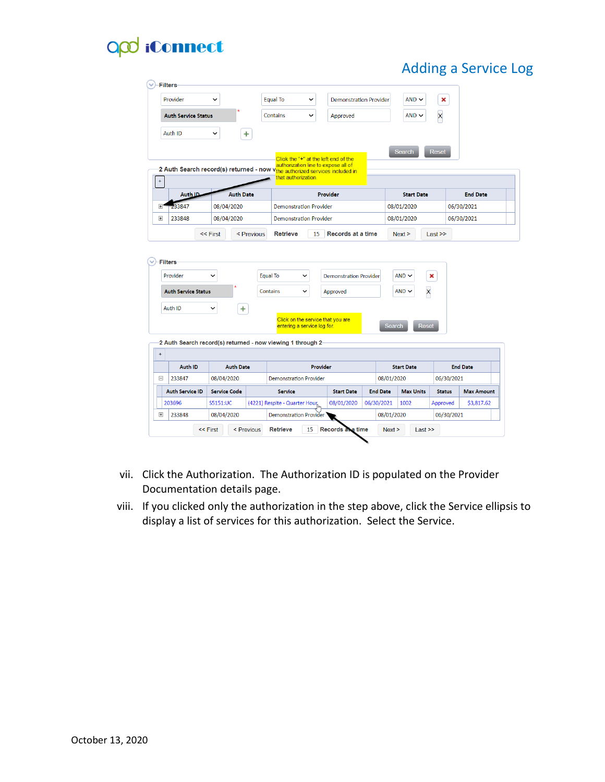# **QQ** iConnect

## Adding a Service Log

|                            | Provider                              | v                       |                  | Equal To<br>v                                                                                      | <b>Demonstration Provider</b> |                 | $AND \sim$                    | ×             |                   |
|----------------------------|---------------------------------------|-------------------------|------------------|----------------------------------------------------------------------------------------------------|-------------------------------|-----------------|-------------------------------|---------------|-------------------|
| <b>Auth Service Status</b> |                                       | Contains<br>$\check{ }$ |                  | $AND \sim$                                                                                         | $\overline{\mathsf{x}}$       |                 |                               |               |                   |
|                            | Auth ID                               | $\checkmark$            | ÷                |                                                                                                    |                               |                 |                               |               |                   |
|                            |                                       |                         |                  |                                                                                                    |                               |                 | <b>Search</b>                 | Reset         |                   |
|                            |                                       |                         |                  | Click the "+" at the left end of the<br>authorization line to expose all of                        |                               |                 |                               |               |                   |
| $\pm$                      |                                       |                         |                  | 2 Auth Search record(s) returned - now vthe authorized services included in<br>that authorization. |                               |                 |                               |               |                   |
|                            | Auth ID                               |                         | <b>Auth Date</b> |                                                                                                    | <b>Provider</b>               |                 | <b>Start Date</b>             |               | <b>End Date</b>   |
| $+$                        | 33847                                 | 08/04/2020              |                  | <b>Demonstration Provider</b>                                                                      |                               |                 | 08/01/2020                    |               | 06/30/2021        |
| $\overline{+}$             | 233848                                | 08/04/2020              |                  | <b>Demonstration Provider</b>                                                                      |                               |                 | 08/01/2020                    |               | 06/30/2021        |
|                            |                                       | << First                | < Previous       | <b>Retrieve</b><br>15                                                                              | Records at a time             |                 | Next >                        | Last          |                   |
|                            | <b>Filters</b><br>Provider            |                         |                  | <b>Equal To</b><br>v                                                                               | <b>Demonstration Provider</b> |                 | $AND \sim$                    | ×             |                   |
|                            | <b>Auth Service Status</b><br>Auth ID | $\checkmark$            | $\ddot{}$        | $\checkmark$<br>Contains<br>Click on the service that you are                                      | Approved                      |                 | $AND \sim$<br>X               |               |                   |
|                            |                                       |                         |                  | entering a service log for.                                                                        |                               |                 | <b>Search</b><br><b>Reset</b> |               |                   |
|                            |                                       |                         |                  | 2 Auth Search record(s) returned - now viewing 1 through 2                                         |                               |                 |                               |               |                   |
| $\pm$                      | <b>Auth ID</b>                        | <b>Auth Date</b>        |                  | Provider                                                                                           |                               |                 | <b>Start Date</b>             |               | <b>End Date</b>   |
| Ξ                          | 233847                                | 08/04/2020              |                  | <b>Demonstration Provider</b>                                                                      |                               | 08/01/2020      |                               | 06/30/2021    |                   |
|                            | <b>Auth Service ID</b>                | <b>Service Code</b>     |                  | <b>Service</b>                                                                                     | <b>Start Date</b>             | <b>End Date</b> | <b>Max Units</b>              | <b>Status</b> | <b>Max Amount</b> |
|                            | 203696                                | S5151:UC                |                  | (4221) Respite - Quarter Hour,                                                                     | 08/01/2020                    | 06/30/2021      | 1002                          | Approved      | \$3,817.62        |

- vii. Click the Authorization. The Authorization ID is populated on the Provider Documentation details page.
- viii. If you clicked only the authorization in the step above, click the Service ellipsis to display a list of services for this authorization. Select the Service.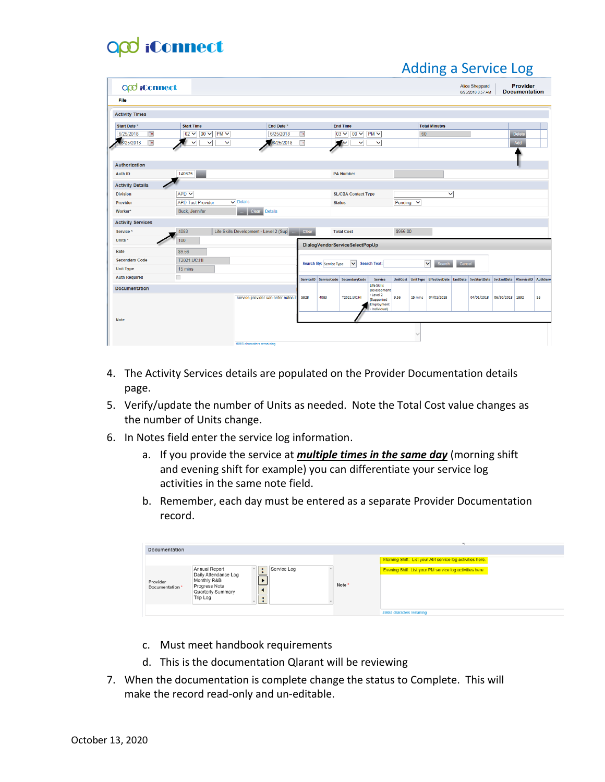# O<sub>co</sub> iConnect

|                          |                   |                              |              |                                        |                                  |                                        |                                            |                                     |                                                        |         |              | <b>Adding a Service Log</b>                                                         |        |                                     |                 |                                  |    |
|--------------------------|-------------------|------------------------------|--------------|----------------------------------------|----------------------------------|----------------------------------------|--------------------------------------------|-------------------------------------|--------------------------------------------------------|---------|--------------|-------------------------------------------------------------------------------------|--------|-------------------------------------|-----------------|----------------------------------|----|
| O <sub>co</sub> iConnect |                   |                              |              |                                        |                                  |                                        |                                            |                                     |                                                        |         |              |                                                                                     |        | Alice Sheppard<br>6/25/2018 8:57 AM |                 | Provider<br><b>Documentation</b> |    |
| File                     |                   |                              |              |                                        |                                  |                                        |                                            |                                     |                                                        |         |              |                                                                                     |        |                                     |                 |                                  |    |
| <b>Activity Times</b>    |                   |                              |              |                                        |                                  |                                        |                                            |                                     |                                                        |         |              |                                                                                     |        |                                     |                 |                                  |    |
| Start Date *             | <b>Start Time</b> |                              |              |                                        | End Date *                       |                                        |                                            | <b>End Time</b>                     |                                                        |         |              | <b>Total Minutes</b>                                                                |        |                                     |                 |                                  |    |
| Ta<br>6/25/2018          | $02 \vee$         | $00 \vee$                    | PMV          |                                        | 6/25/2018                        | Te.                                    |                                            | $03 \vee$<br>$00 \vee$              | PMV                                                    |         | 60           |                                                                                     |        |                                     |                 | <b>Delete</b>                    |    |
| Œ<br>6/25/2018           |                   | $\checkmark$<br>$\checkmark$ | $\checkmark$ |                                        | 06/25/2018                       | œ                                      | и                                          | ◢∼<br>$\checkmark$                  | $\checkmark$                                           |         |              |                                                                                     |        |                                     |                 | Add                              |    |
|                          |                   |                              |              |                                        |                                  |                                        |                                            |                                     |                                                        |         |              |                                                                                     |        |                                     |                 |                                  |    |
| <b>Authorization</b>     |                   |                              |              |                                        |                                  |                                        |                                            |                                     |                                                        |         |              |                                                                                     |        |                                     |                 |                                  |    |
| <b>Auth ID</b>           | 140675            |                              |              |                                        |                                  |                                        |                                            | <b>PA Number</b>                    |                                                        |         |              |                                                                                     |        |                                     |                 |                                  |    |
| <b>Activity Details</b>  |                   |                              |              |                                        |                                  |                                        |                                            |                                     |                                                        |         |              |                                                                                     |        |                                     |                 |                                  |    |
| <b>Division</b>          | $APD$ $\vee$      |                              |              |                                        |                                  |                                        | $\checkmark$<br><b>SL/CBA Contact Type</b> |                                     |                                                        |         |              |                                                                                     |        |                                     |                 |                                  |    |
| Provider                 |                   | <b>APD Test Provider</b>     |              | $\overline{\smile}$ Details            |                                  |                                        |                                            | <b>Status</b>                       |                                                        | Pending | $\checkmark$ |                                                                                     |        |                                     |                 |                                  |    |
| Worker*                  | Buck, Jennifer    |                              |              | Clear <sub>1</sub>                     | Details                          |                                        |                                            |                                     |                                                        |         |              |                                                                                     |        |                                     |                 |                                  |    |
| <b>Activity Services</b> |                   |                              |              |                                        |                                  |                                        |                                            |                                     |                                                        |         |              |                                                                                     |        |                                     |                 |                                  |    |
| Service*                 | 4083              |                              |              | Life Skills Development - Level 2 (Sup |                                  | \$956.00<br>Clear<br><b>Total Cost</b> |                                            |                                     |                                                        |         |              |                                                                                     |        |                                     |                 |                                  |    |
| Units <sup>*</sup>       | 100               |                              |              |                                        |                                  | DialogVendorServiceSelectPopUp         |                                            |                                     |                                                        |         |              |                                                                                     |        |                                     |                 |                                  |    |
| Rate                     | \$9.56            |                              |              |                                        |                                  |                                        |                                            |                                     |                                                        |         |              |                                                                                     |        |                                     |                 |                                  |    |
| <b>Secondary Code</b>    | T2021:UC:HI       |                              |              |                                        |                                  |                                        | Search By: Service Type                    | $\checkmark$                        | <b>Search Text:</b>                                    |         |              | $\checkmark$<br><b>Search</b>                                                       | Cancel |                                     |                 |                                  |    |
| <b>Unit Type</b>         | 15 mins           |                              |              |                                        |                                  |                                        |                                            |                                     |                                                        |         |              |                                                                                     |        |                                     |                 |                                  |    |
| <b>Auth Required</b>     | П                 |                              |              |                                        |                                  |                                        |                                            | ServiceID ServiceCode SecondaryCode | <b>Service</b>                                         |         |              | UnitCost UnitType EffectiveDate EndDate SvcStartDate SvcEndDate VServiceID AuthServ |        |                                     |                 |                                  |    |
| <b>Documentation</b>     |                   |                              |              |                                        |                                  |                                        |                                            |                                     | <b>Life Skills</b><br>Development                      |         |              |                                                                                     |        |                                     |                 |                                  |    |
|                          |                   |                              |              |                                        | service provider can enter notes | 5828                                   | 4083                                       | T2021:UC:HI                         | - Level 2<br>(Supported<br>Employment<br>- Individual) | 9.56    | 15 mins      | 04/01/2018                                                                          |        | 04/01/2018                          | 06/30/2018 1892 |                                  | 55 |
| <b>Note</b>              |                   |                              |              |                                        |                                  |                                        |                                            |                                     |                                                        |         |              |                                                                                     |        |                                     |                 |                                  |    |
|                          |                   |                              |              |                                        |                                  |                                        |                                            |                                     |                                                        |         | $\checkmark$ |                                                                                     |        |                                     |                 |                                  |    |
|                          |                   |                              |              | 6958 characters remaining              |                                  |                                        |                                            |                                     |                                                        |         |              |                                                                                     |        |                                     |                 |                                  |    |

- 4. The Activity Services details are populated on the Provider Documentation details page.
- 5. Verify/update the number of Units as needed. Note the Total Cost value changes as the number of Units change.
- 6. In Notes field enter the service log information.
	- a. If you provide the service at *multiple times in the same day* (morning shift and evening shift for example) you can differentiate your service log activities in the same note field.
	- b. Remember, each day must be entered as a separate Provider Documentation record.

| Documentation               |                                                                                                                      |             |                   |                                                          |
|-----------------------------|----------------------------------------------------------------------------------------------------------------------|-------------|-------------------|----------------------------------------------------------|
|                             |                                                                                                                      |             |                   | Morning Shift: List your AM service log activities here. |
| Provider<br>Documentation * | Annual Report<br>Daily Attendance Log<br>Monthly R&B<br><b>Progress Note</b><br>Quarterly Summary<br><b>Trip Log</b> | Service Log | Note <sup>*</sup> | Evening Shift: List your PM service log activities here  |
|                             |                                                                                                                      |             |                   | 49884 characters remaining                               |

- c. Must meet handbook requirements
- d. This is the documentation Qlarant will be reviewing
- 7. When the documentation is complete change the status to Complete. This will make the record read-only and un-editable.